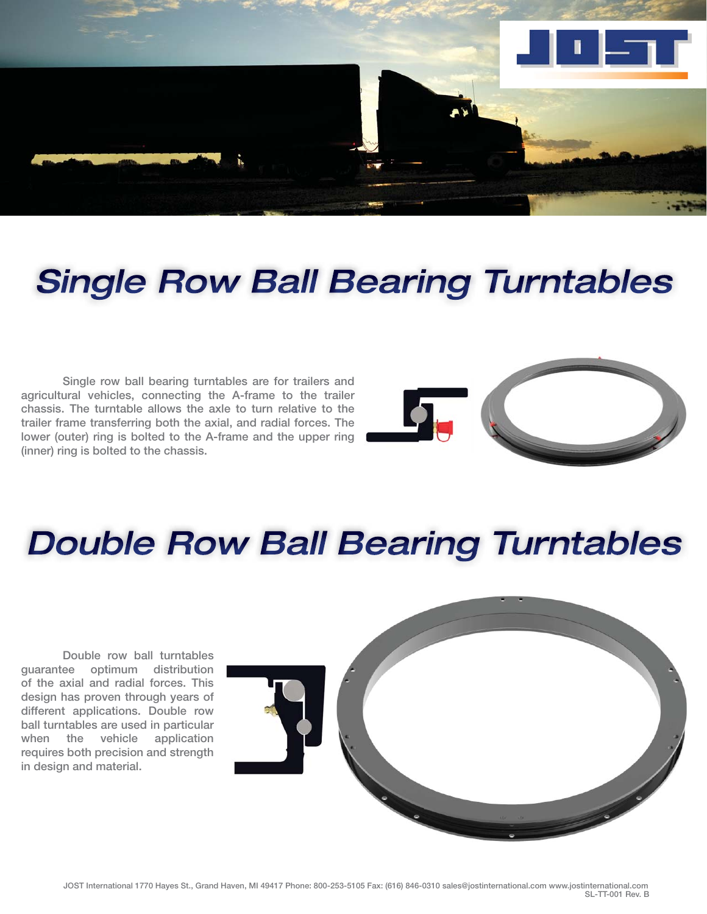

# **Single Row Ball Bearing Turntables**

 **Single row ball bearing turntables are for trailers and agricultural vehicles, connecting the A-frame to the trailer chassis. The turntable allows the axle to turn relative to the trailer frame transferring both the axial, and radial forces. The lower (outer) ring is bolted to the A-frame and the upper ring (inner) ring is bolted to the chassis.**



## **Double Row Ball Bearing Turntables**

 **Double row ball turntables guarantee optimum distribution of the axial and radial forces. This design has proven through years of different applications. Double row ball turntables are used in particular when the vehicle application requires both precision and strength in design and material.**